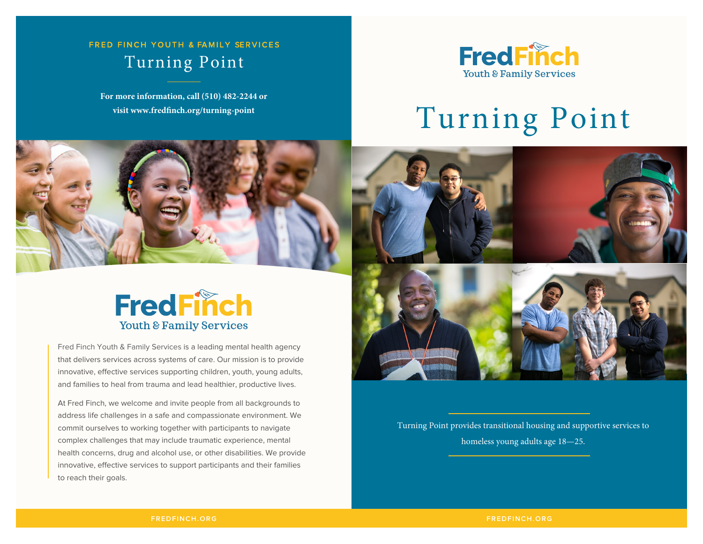## Turning Point FRED FINCH YOUTH & FAMILY SERVICES

**For more information, call (510) 482-2244 or** 



# visit www.fredfinch.org/turning-point  $T$ urning  $P$ oint



## **FredFinch** Youth & Family Services

Fred Finch Youth & Family Services is a leading mental health agency that delivers services across systems of care. Our mission is to provide innovative, effective services supporting children, youth, young adults, and families to heal from trauma and lead healthier, productive lives.

At Fred Finch, we welcome and invite people from all backgrounds to address life challenges in a safe and compassionate environment. We commit ourselves to working together with participants to navigate complex challenges that may include traumatic experience, mental health concerns, drug and alcohol use, or other disabilities. We provide innovative, effective services to support participants and their families to reach their goals.



Turning Point provides transitional housing and supportive services to homeless young adults age 18—25.